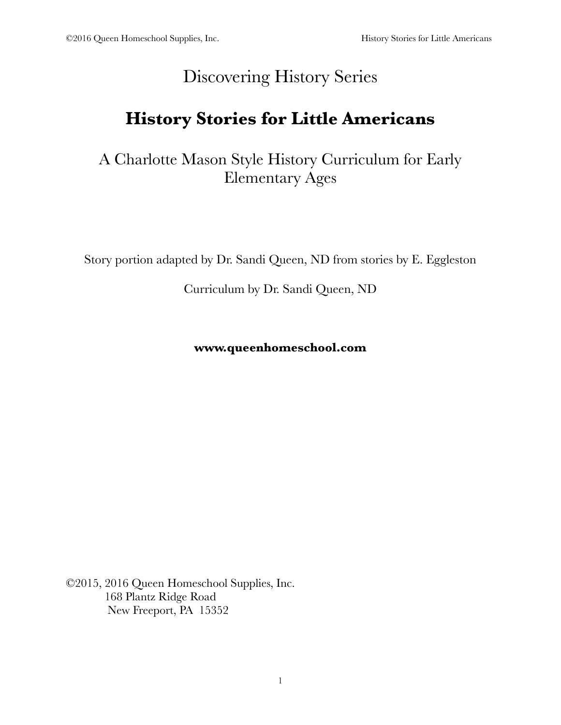## Discovering History Series

# **History Stories for Little Americans**

A Charlotte Mason Style History Curriculum for Early Elementary Ages

Story portion adapted by Dr. Sandi Queen, ND from stories by E. Eggleston

Curriculum by Dr. Sandi Queen, ND

**www.queenhomeschool.com**

©2015, 2016 Queen Homeschool Supplies, Inc. 168 Plantz Ridge Road New Freeport, PA 15352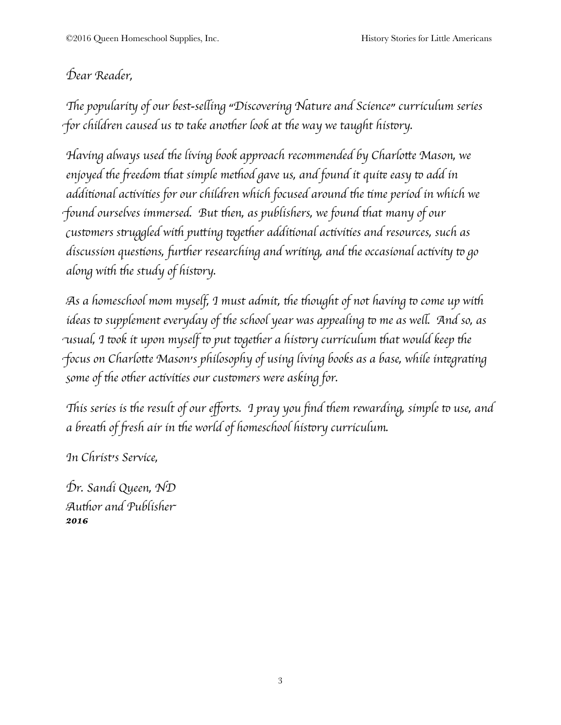## D*ear Reader,*

"*e populari*# *of our best-se*\$*ing "Discovering Nature and Science" curriculum series for children caused us to take another look at the way we taught history.* 

H*aving always used* '*e living book approach recommended by Charlo*)*e Mason, we enjoyed* '*e* \**eedom* '*at simple me*'*od gave us, and found it qui*+ *easy* & *add in addi*,*onal ac*,*vi*,*es for our children which focused around* '*e* ,*me period in which we* f*ound ourselves immersed. But* '*en, as publishers, we found* '*at many of our* c*us*&*mers s*.*uggled wi*' *pu*)*ing* &*ge*'*er addi*,*onal ac*,*vi*,*es and resources, such as discussion questions, further researching and writing, and the occasional activity to go along* with the study of history.

A*s a homeschool mom myself, I must admit,* '*e* '*ought of not having* & *come up wi*' *ideas* to supplement everyday of the school year was appealing to me as well. And so, as u*sual, I* &*ok it upon myself* & *put* &*ge*'*er a his*&*ry curriculum* '*at would keep* '*e* focus on Charlotte Mason's philosophy of using living books as a base, while integrating s*ome of* '*e o*'*er ac*,*vi*,*es our cus*&*mers were asking for.*

This series is the result of our efforts. I pray you find them rewarding, simple to use, and *a brea*' *of* \**esh air in* '*e world of homeschool his*&*ry curriculum.*

I*n Christ's Service,*

D*r. Sandi Queen, ND* A*u*'*or and Publishe*r *2016*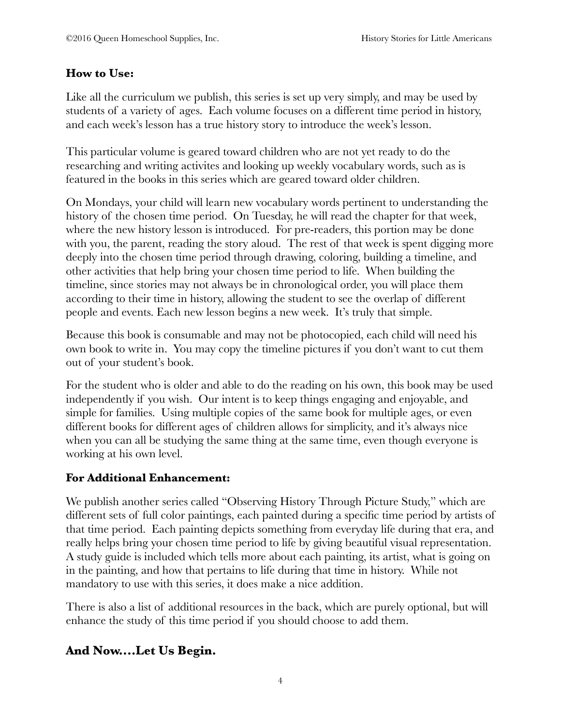#### **How to Use:**

Like all the curriculum we publish, this series is set up very simply, and may be used by students of a variety of ages. Each volume focuses on a different time period in history, and each week's lesson has a true history story to introduce the week's lesson.

This particular volume is geared toward children who are not yet ready to do the researching and writing activites and looking up weekly vocabulary words, such as is featured in the books in this series which are geared toward older children.

On Mondays, your child will learn new vocabulary words pertinent to understanding the history of the chosen time period. On Tuesday, he will read the chapter for that week, where the new history lesson is introduced. For pre-readers, this portion may be done with you, the parent, reading the story aloud. The rest of that week is spent digging more deeply into the chosen time period through drawing, coloring, building a timeline, and other activities that help bring your chosen time period to life. When building the timeline, since stories may not always be in chronological order, you will place them according to their time in history, allowing the student to see the overlap of different people and events. Each new lesson begins a new week. It's truly that simple.

Because this book is consumable and may not be photocopied, each child will need his own book to write in. You may copy the timeline pictures if you don't want to cut them out of your student's book.

For the student who is older and able to do the reading on his own, this book may be used independently if you wish. Our intent is to keep things engaging and enjoyable, and simple for families. Using multiple copies of the same book for multiple ages, or even different books for different ages of children allows for simplicity, and it's always nice when you can all be studying the same thing at the same time, even though everyone is working at his own level.

#### **For Additional Enhancement:**

We publish another series called "Observing History Through Picture Study," which are different sets of full color paintings, each painted during a specific time period by artists of that time period. Each painting depicts something from everyday life during that era, and really helps bring your chosen time period to life by giving beautiful visual representation. A study guide is included which tells more about each painting, its artist, what is going on in the painting, and how that pertains to life during that time in history. While not mandatory to use with this series, it does make a nice addition.

There is also a list of additional resources in the back, which are purely optional, but will enhance the study of this time period if you should choose to add them.

#### **And Now....Let Us Begin.**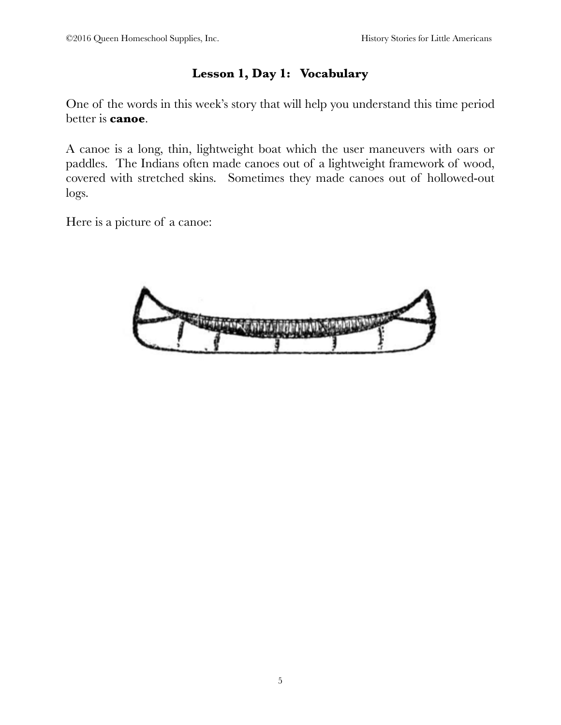### **Lesson 1, Day 1: Vocabulary**

One of the words in this week's story that will help you understand this time period better is **canoe**.

A canoe is a long, thin, lightweight boat which the user maneuvers with oars or paddles. The Indians often made canoes out of a lightweight framework of wood, covered with stretched skins. Sometimes they made canoes out of hollowed-out logs.

Here is a picture of a canoe:

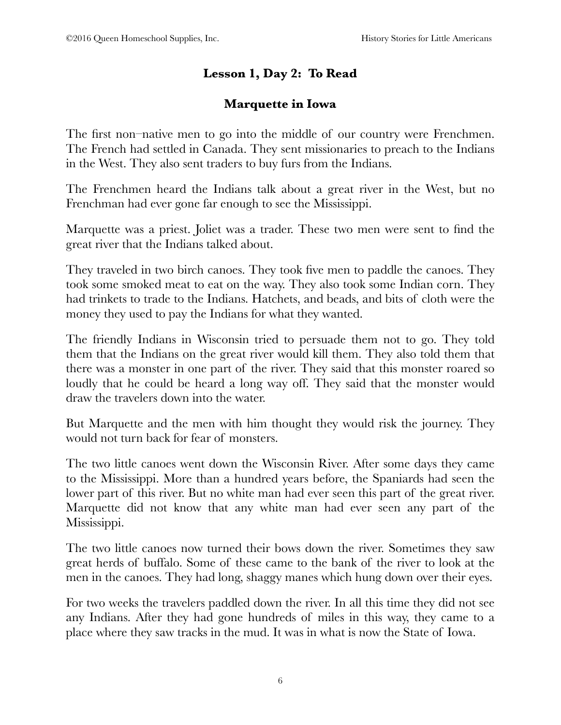### **Lesson 1, Day 2: To Read**

#### **Marquette in Iowa**

The first non–native men to go into the middle of our country were Frenchmen. The French had settled in Canada. They sent missionaries to preach to the Indians in the West. They also sent traders to buy furs from the Indians.

The Frenchmen heard the Indians talk about a great river in the West, but no Frenchman had ever gone far enough to see the Mississippi.

Marquette was a priest. Joliet was a trader. These two men were sent to find the great river that the Indians talked about.

They traveled in two birch canoes. They took five men to paddle the canoes. They took some smoked meat to eat on the way. They also took some Indian corn. They had trinkets to trade to the Indians. Hatchets, and beads, and bits of cloth were the money they used to pay the Indians for what they wanted.

The friendly Indians in Wisconsin tried to persuade them not to go. They told them that the Indians on the great river would kill them. They also told them that there was a monster in one part of the river. They said that this monster roared so loudly that he could be heard a long way off. They said that the monster would draw the travelers down into the water.

But Marquette and the men with him thought they would risk the journey. They would not turn back for fear of monsters.

The two little canoes went down the Wisconsin River. After some days they came to the Mississippi. More than a hundred years before, the Spaniards had seen the lower part of this river. But no white man had ever seen this part of the great river. Marquette did not know that any white man had ever seen any part of the Mississippi.

The two little canoes now turned their bows down the river. Sometimes they saw great herds of buffalo. Some of these came to the bank of the river to look at the men in the canoes. They had long, shaggy manes which hung down over their eyes.

For two weeks the travelers paddled down the river. In all this time they did not see any Indians. After they had gone hundreds of miles in this way, they came to a place where they saw tracks in the mud. It was in what is now the State of Iowa.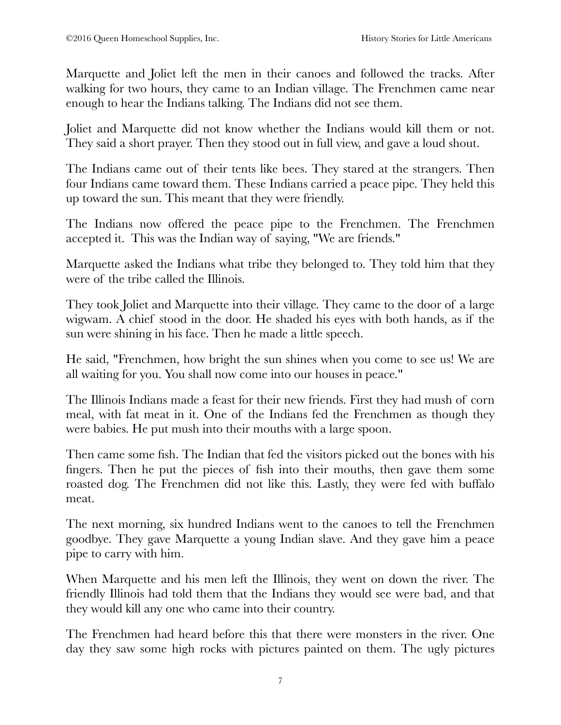Marquette and Joliet left the men in their canoes and followed the tracks. After walking for two hours, they came to an Indian village. The Frenchmen came near enough to hear the Indians talking. The Indians did not see them.

Joliet and Marquette did not know whether the Indians would kill them or not. They said a short prayer. Then they stood out in full view, and gave a loud shout.

The Indians came out of their tents like bees. They stared at the strangers. Then four Indians came toward them. These Indians carried a peace pipe. They held this up toward the sun. This meant that they were friendly.

The Indians now offered the peace pipe to the Frenchmen. The Frenchmen accepted it. This was the Indian way of saying, "We are friends."

Marquette asked the Indians what tribe they belonged to. They told him that they were of the tribe called the Illinois.

They took Joliet and Marquette into their village. They came to the door of a large wigwam. A chief stood in the door. He shaded his eyes with both hands, as if the sun were shining in his face. Then he made a little speech.

He said, "Frenchmen, how bright the sun shines when you come to see us! We are all waiting for you. You shall now come into our houses in peace."

The Illinois Indians made a feast for their new friends. First they had mush of corn meal, with fat meat in it. One of the Indians fed the Frenchmen as though they were babies. He put mush into their mouths with a large spoon.

Then came some fish. The Indian that fed the visitors picked out the bones with his fingers. Then he put the pieces of fish into their mouths, then gave them some roasted dog. The Frenchmen did not like this. Lastly, they were fed with buffalo meat.

The next morning, six hundred Indians went to the canoes to tell the Frenchmen goodbye. They gave Marquette a young Indian slave. And they gave him a peace pipe to carry with him.

When Marquette and his men left the Illinois, they went on down the river. The friendly Illinois had told them that the Indians they would see were bad, and that they would kill any one who came into their country.

The Frenchmen had heard before this that there were monsters in the river. One day they saw some high rocks with pictures painted on them. The ugly pictures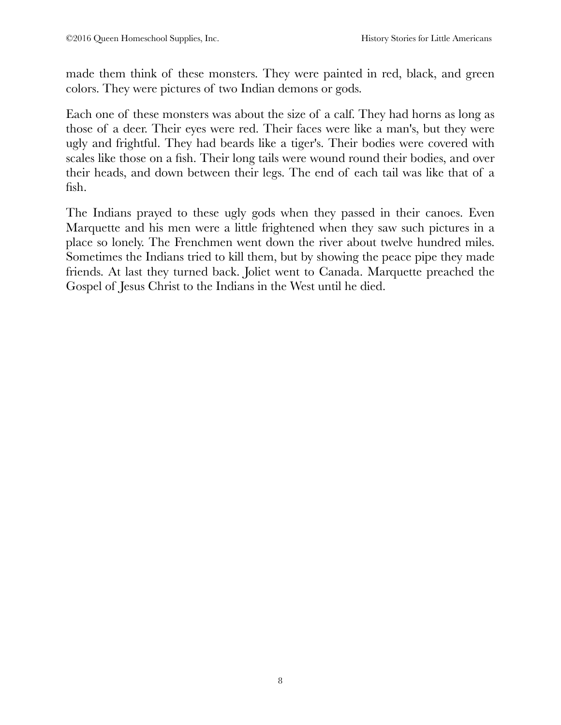made them think of these monsters. They were painted in red, black, and green colors. They were pictures of two Indian demons or gods.

Each one of these monsters was about the size of a calf. They had horns as long as those of a deer. Their eyes were red. Their faces were like a man's, but they were ugly and frightful. They had beards like a tiger's. Their bodies were covered with scales like those on a fish. Their long tails were wound round their bodies, and over their heads, and down between their legs. The end of each tail was like that of a fish.

The Indians prayed to these ugly gods when they passed in their canoes. Even Marquette and his men were a little frightened when they saw such pictures in a place so lonely. The Frenchmen went down the river about twelve hundred miles. Sometimes the Indians tried to kill them, but by showing the peace pipe they made friends. At last they turned back. Joliet went to Canada. Marquette preached the Gospel of Jesus Christ to the Indians in the West until he died.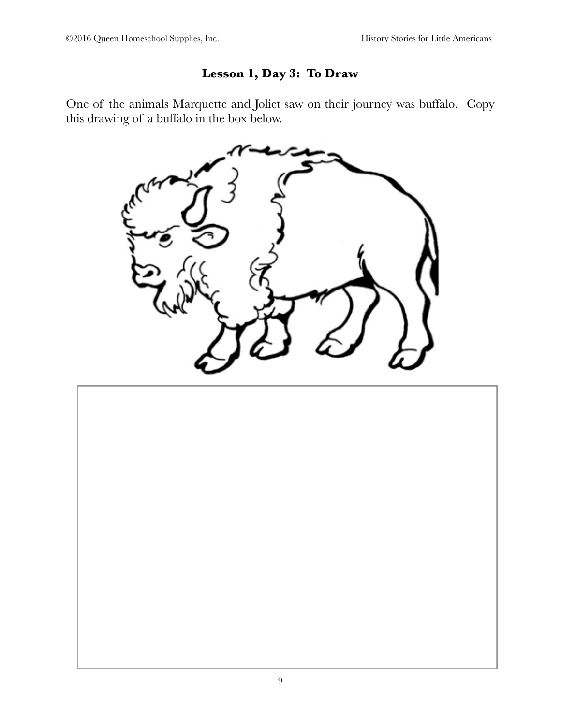#### **Lesson 1, Day 3: To Draw**

One of the animals Marquette and Joliet saw on their journey was buffalo. Copy this drawing of a buffalo in the box below.



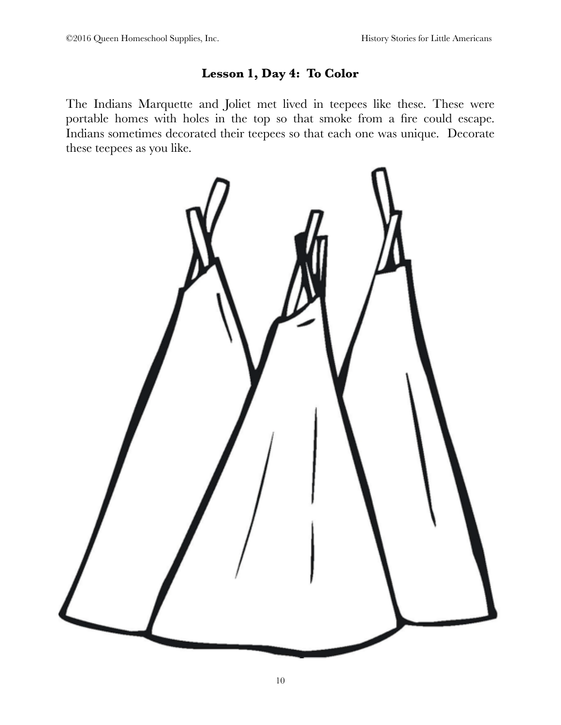#### **Lesson 1, Day 4: To Color**

The Indians Marquette and Joliet met lived in teepees like these. These were portable homes with holes in the top so that smoke from a fire could escape. Indians sometimes decorated their teepees so that each one was unique. Decorate these teepees as you like.

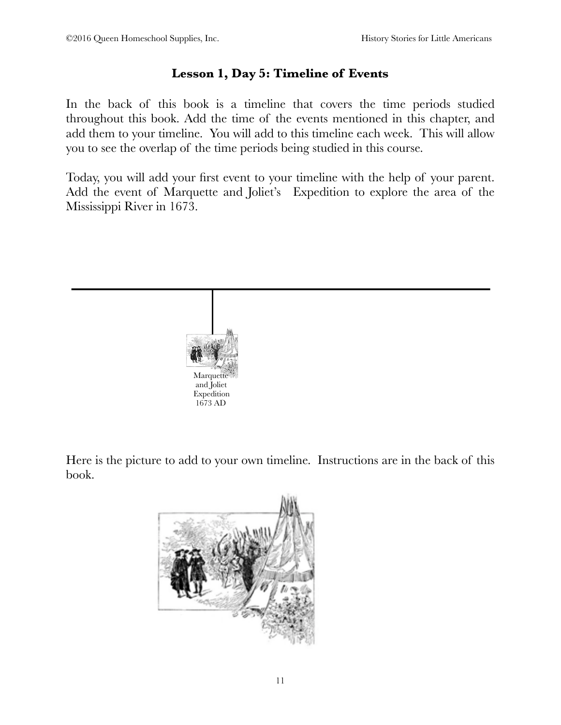#### **Lesson 1, Day 5: Timeline of Events**

In the back of this book is a timeline that covers the time periods studied throughout this book. Add the time of the events mentioned in this chapter, and add them to your timeline. You will add to this timeline each week. This will allow you to see the overlap of the time periods being studied in this course.

Today, you will add your first event to your timeline with the help of your parent. Add the event of Marquette and Joliet's Expedition to explore the area of the Mississippi River in 1673.



Here is the picture to add to your own timeline. Instructions are in the back of this book.

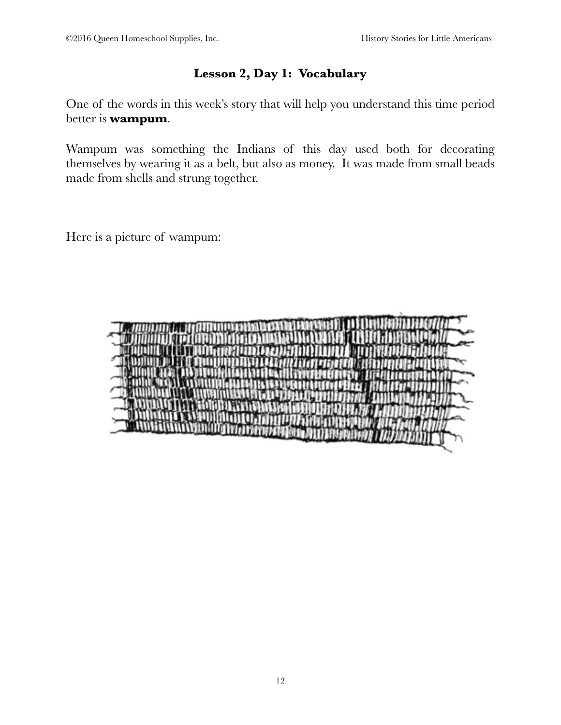#### **Lesson 2, Day 1: Vocabulary**

One of the words in this week's story that will help you understand this time period better is **wampum**.

Wampum was something the Indians of this day used both for decorating themselves by wearing it as a belt, but also as money. It was made from small beads made from shells and strung together.

Here is a picture of wampum:

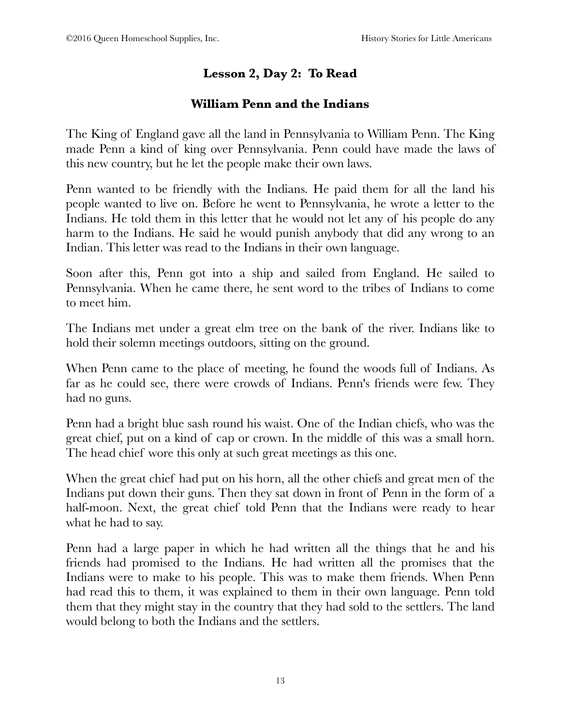#### **Lesson 2, Day 2: To Read**

#### **William Penn and the Indians**

The King of England gave all the land in Pennsylvania to William Penn. The King made Penn a kind of king over Pennsylvania. Penn could have made the laws of this new country, but he let the people make their own laws.

Penn wanted to be friendly with the Indians. He paid them for all the land his people wanted to live on. Before he went to Pennsylvania, he wrote a letter to the Indians. He told them in this letter that he would not let any of his people do any harm to the Indians. He said he would punish anybody that did any wrong to an Indian. This letter was read to the Indians in their own language.

Soon after this, Penn got into a ship and sailed from England. He sailed to Pennsylvania. When he came there, he sent word to the tribes of Indians to come to meet him.

The Indians met under a great elm tree on the bank of the river. Indians like to hold their solemn meetings outdoors, sitting on the ground.

When Penn came to the place of meeting, he found the woods full of Indians. As far as he could see, there were crowds of Indians. Penn's friends were few. They had no guns.

Penn had a bright blue sash round his waist. One of the Indian chiefs, who was the great chief, put on a kind of cap or crown. In the middle of this was a small horn. The head chief wore this only at such great meetings as this one.

When the great chief had put on his horn, all the other chiefs and great men of the Indians put down their guns. Then they sat down in front of Penn in the form of a half-moon. Next, the great chief told Penn that the Indians were ready to hear what he had to say.

Penn had a large paper in which he had written all the things that he and his friends had promised to the Indians. He had written all the promises that the Indians were to make to his people. This was to make them friends. When Penn had read this to them, it was explained to them in their own language. Penn told them that they might stay in the country that they had sold to the settlers. The land would belong to both the Indians and the settlers.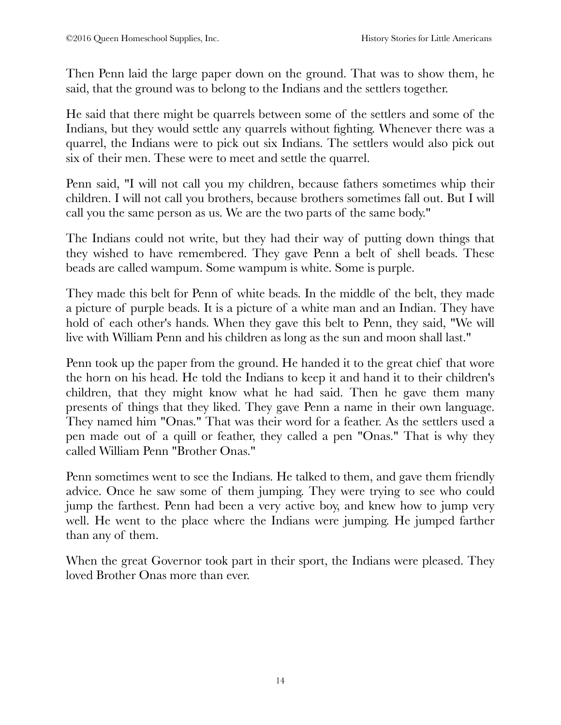Then Penn laid the large paper down on the ground. That was to show them, he said, that the ground was to belong to the Indians and the settlers together.

He said that there might be quarrels between some of the settlers and some of the Indians, but they would settle any quarrels without fighting. Whenever there was a quarrel, the Indians were to pick out six Indians. The settlers would also pick out six of their men. These were to meet and settle the quarrel.

Penn said, "I will not call you my children, because fathers sometimes whip their children. I will not call you brothers, because brothers sometimes fall out. But I will call you the same person as us. We are the two parts of the same body."

The Indians could not write, but they had their way of putting down things that they wished to have remembered. They gave Penn a belt of shell beads. These beads are called wampum. Some wampum is white. Some is purple.

They made this belt for Penn of white beads. In the middle of the belt, they made a picture of purple beads. It is a picture of a white man and an Indian. They have hold of each other's hands. When they gave this belt to Penn, they said, "We will live with William Penn and his children as long as the sun and moon shall last."

Penn took up the paper from the ground. He handed it to the great chief that wore the horn on his head. He told the Indians to keep it and hand it to their children's children, that they might know what he had said. Then he gave them many presents of things that they liked. They gave Penn a name in their own language. They named him "Onas." That was their word for a feather. As the settlers used a pen made out of a quill or feather, they called a pen "Onas." That is why they called William Penn "Brother Onas."

Penn sometimes went to see the Indians. He talked to them, and gave them friendly advice. Once he saw some of them jumping. They were trying to see who could jump the farthest. Penn had been a very active boy, and knew how to jump very well. He went to the place where the Indians were jumping. He jumped farther than any of them.

When the great Governor took part in their sport, the Indians were pleased. They loved Brother Onas more than ever.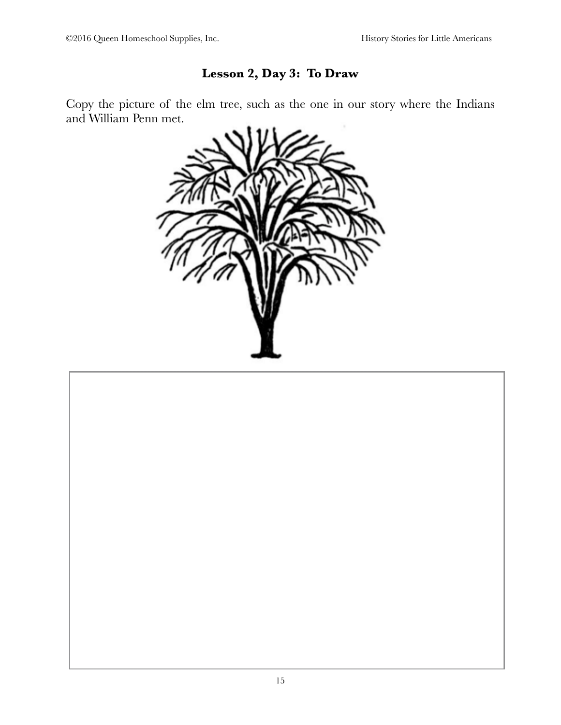#### **Lesson 2, Day 3: To Draw**

Copy the picture of the elm tree, such as the one in our story where the Indians and William Penn met.



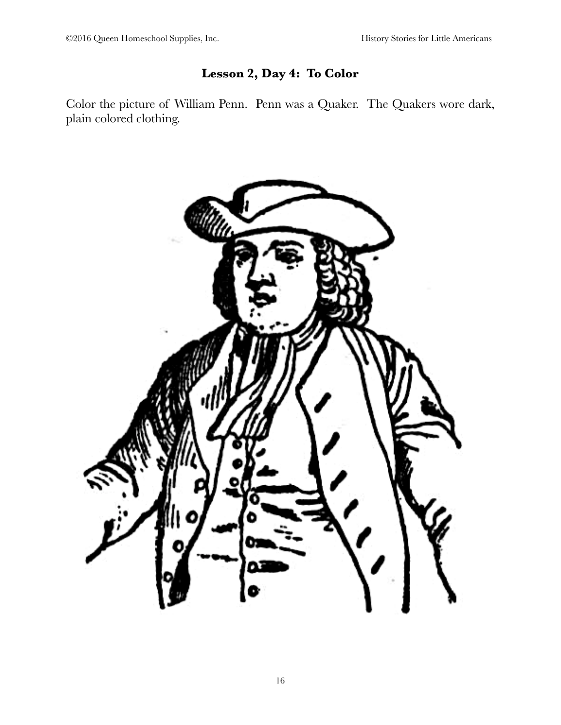#### **Lesson 2, Day 4: To Color**

Color the picture of William Penn. Penn was a Quaker. The Quakers wore dark, plain colored clothing.